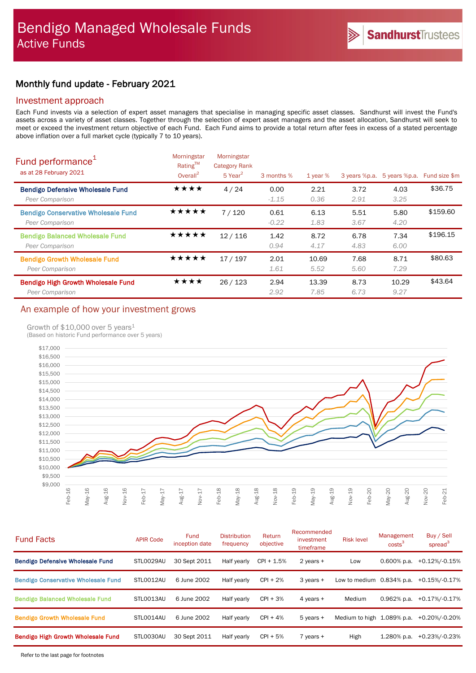# Monthly fund update - February 2021

### Investment approach

Each Fund invests via a selection of expert asset managers that specialise in managing specific asset classes. Sandhurst will invest the Fund's assets across a variety of asset classes. Together through the selection of expert asset managers and the asset allocation, Sandhurst will seek to meet or exceed the investment return objective of each Fund. Each Fund aims to provide a total return after fees in excess of a stated percentage above inflation over a full market cycle (typically 7 to 10 years).

| Fund performance <sup>1</sup><br>as at 28 February 2021       | Morningstar<br>Rating™<br>Overall $^2$ | Morningstar<br><b>Category Rank</b><br>$5$ Year <sup>2</sup> | 3 months %      | 1 year $%$    | 3 years %p.a. | 5 years %p.a. | Fund size \$m |
|---------------------------------------------------------------|----------------------------------------|--------------------------------------------------------------|-----------------|---------------|---------------|---------------|---------------|
| <b>Bendigo Defensive Wholesale Fund</b><br>Peer Comparison    | ★★★★                                   | 4/24                                                         | 0.00<br>$-1.15$ | 2.21<br>0.36  | 3.72<br>2.91  | 4.03<br>3.25  | \$36.75       |
| <b>Bendigo Conservative Wholesale Fund</b><br>Peer Comparison | ★★★★★                                  | 7/120                                                        | 0.61<br>$-0.22$ | 6.13<br>1.83  | 5.51<br>3.67  | 5.80<br>4.20  | \$159.60      |
| <b>Bendigo Balanced Wholesale Fund</b><br>Peer Comparison     | ★★★★★                                  | 12/116                                                       | 1.42<br>0.94    | 8.72<br>4.17  | 6.78<br>4.83  | 7.34<br>6.00  | \$196.15      |
| <b>Bendigo Growth Wholesale Fund</b><br>Peer Comparison       | ★★★★★                                  | 17/197                                                       | 2.01<br>1.61    | 10.69<br>5.52 | 7.68<br>5.60  | 8.71<br>7.29  | \$80.63       |
| <b>Bendigo High Growth Wholesale Fund</b><br>Peer Comparison  | ★★★★                                   | 26/123                                                       | 2.94<br>2.92    | 13.39<br>7.85 | 8.73<br>6.73  | 10.29<br>9.27 | \$43.64       |

# An example of how your investment grows

### Growth of \$10,000 over 5 years<sup>1</sup>

(Based on historic Fund performance over 5 years)



| <b>Fund Facts</b>                          | <b>APIR Code</b> | Fund<br>inception date | <b>Distribution</b><br>frequency | Return<br>objective | Recommended<br>investment<br>timeframe | <b>Risk level</b>            | Management<br>costs <sup>3</sup> | Buy / Sell<br>spread <sup>3</sup> |
|--------------------------------------------|------------------|------------------------|----------------------------------|---------------------|----------------------------------------|------------------------------|----------------------------------|-----------------------------------|
| <b>Bendigo Defensive Wholesale Fund</b>    | STL0029AU        | 30 Sept 2011           | Half yearly                      | $CPI + 1.5%$        | 2 years +                              | Low                          | $0.600\%$ p.a.                   | +0.12%/-0.15%                     |
| <b>Bendigo Conservative Wholesale Fund</b> | STLO012AU        | 6 June 2002            | Half yearly                      | $CPI + 2%$          | 3 years +                              | Low to medium $0.834\%$ p.a. |                                  | +0.15%/-0.17%                     |
| <b>Bendigo Balanced Wholesale Fund</b>     | STLO013AU        | 6 June 2002            | Half yearly                      | $CPI + 3%$          | 4 years +                              | Medium                       | 0.962% p.a.                      | +0.17%/-0.17%                     |
| <b>Bendigo Growth Wholesale Fund</b>       | STLO014AU        | 6 June 2002            | Half yearly                      | $CPI + 4%$          | $5$ years $+$                          | Medium to high 1.089% p.a.   |                                  | +0.20%/-0.20%                     |
| Bendigo High Growth Wholesale Fund         | STLO030AU        | 30 Sept 2011           | Half yearly                      | $CPI + 5%$          | $7$ years $+$                          | High                         | 1.280% p.a.                      | +0.23%/-0.23%                     |
|                                            |                  |                        |                                  |                     |                                        |                              |                                  |                                   |

Refer to the last page for footnotes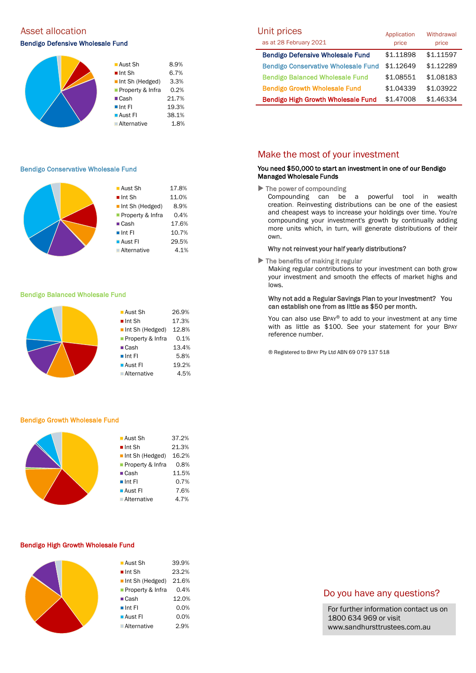### Asset allocation

### Bendigo Defensive Wholesale Fund



### Bendigo Conservative Wholesale Fund

|  | $\blacksquare$ Aust Sh         | 17.8% |
|--|--------------------------------|-------|
|  |                                |       |
|  | $\blacksquare$ Int Sh          | 11.0% |
|  | $\blacksquare$ Int Sh (Hedged) | 8.9%  |
|  | Property & Infra               | 0.4%  |
|  | $\blacksquare$ Cash            | 17.6% |
|  | $\blacksquare$ Int Fl          | 10.7% |
|  | ■ Aust Fl                      | 29.5% |
|  | <b>Alternative</b>             | 4.1%  |
|  |                                |       |

#### Bendigo Balanced Wholesale Fund



#### Bendigo Growth Wholesale Fund

| $\blacksquare$ Aust Sh         | 37.2% |
|--------------------------------|-------|
| $\blacksquare$ Int Sh          | 21.3% |
| $\blacksquare$ Int Sh (Hedged) | 16.2% |
| <b>Property &amp; Infra</b>    | 0.8%  |
| $\blacksquare$ Cash            | 11.5% |
| $\blacksquare$ Int Fl          | 0.7%  |
| ■ Aust Fl                      | 7.6%  |
| ■ Alternative                  | 4.7%  |
|                                |       |

#### Bendigo High Growth Wholesale Fund

| $\blacksquare$ Aust Sh         | 39.9% |
|--------------------------------|-------|
| $\blacksquare$ Int Sh          | 23.2% |
| $\blacksquare$ Int Sh (Hedged) | 21.6% |
| Property & Infra               | 0.4%  |
| $\blacksquare$ Cash            | 12.0% |
| $\blacksquare$ Int FI          | 0.0%  |
| ■ Aust Fl                      | 0.0%  |
| ■ Alternative                  | 2.9%  |
|                                |       |

| Unit prices<br>as at 28 February 2021      | Application<br>price | Withdrawal<br>price |
|--------------------------------------------|----------------------|---------------------|
| <b>Bendigo Defensive Wholesale Fund</b>    | \$1.11898            | \$1.11597           |
| <b>Bendigo Conservative Wholesale Fund</b> | \$1.12649            | \$1.12289           |
| <b>Bendigo Balanced Wholesale Fund</b>     | \$1.08551            | \$1.08183           |
| <b>Bendigo Growth Wholesale Fund</b>       | \$1.04339            | \$1.03922           |
| <b>Bendigo High Growth Wholesale Fund</b>  | \$1,47008            | \$1.46334           |

### Make the most of your investment

### You need \$50,000 to start an investment in one of our Bendigo Managed Wholesale Funds

 $\blacktriangleright$  The power of compounding

Compounding can be a powerful tool in wealth creation. Reinvesting distributions can be one of the easiest and cheapest ways to increase your holdings over time. You're compounding your investment's growth by continually adding more units which, in turn, will generate distributions of their own.

#### Why not reinvest your half yearly distributions?

 $\blacktriangleright$  The benefits of making it regular

Making regular contributions to your investment can both grow your investment and smooth the effects of market highs and lows.

### Why not add a Regular Savings Plan to your investment? You can establish one from as little as \$50 per month.

You can also use BPAY® to add to your investment at any time with as little as \$100. See your statement for your BPAY reference number.

® Registered to BPAY Pty Ltd ABN 69 079 137 518

### Do you have any questions?

For further information contact us on 1800 634 969 or visit www.sandhursttrustees.com.au